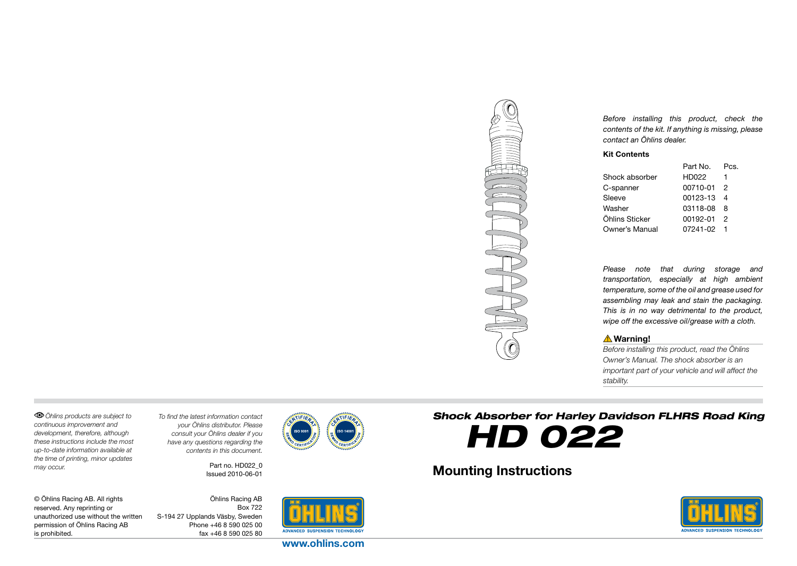

*Before installing this product, check the contents of the kit. If anything is missing, please contact an Öhlins dealer.*

#### Kit Contents

|                | Part No. | Pcs. |
|----------------|----------|------|
| Shock absorber | HD022    | 1    |
| C-spanner      | 00710-01 | 2    |
| Sleeve         | 00123-13 | 4    |
| Washer         | 03118-08 | 8    |
| Öhlins Sticker | 00192-01 | 2    |
| Owner's Manual | 07241-02 |      |

*Please note that during storage and transportation, especially at high ambient temperature, some of the oil and grease used for assembling may leak and stain the packaging. This is in no way detrimental to the product, wipe off the excessive oil/grease with a cloth.*

#### **△Warning!**

*Before installing this product, read the Öhlins Owner's Manual. The shock absorber is an important part of your vehicle and will affect the stability.*

*Öhlins products are subject to continuous improvement and development, therefore, although these instructions include the most up-to-date information available at the time of printing, minor updates may occur.* 

*To find the latest information contact your Öhlins distributor. Please consult your Öhlins dealer if you have any questions regarding the contents in this document.*

> Part no. HD022\_0 Issued 2010-06-01





Mounting Instructions



© Öhlins Racing AB. All rights reserved. Any reprinting or unauthorized use without the written permission of Öhlins Racing AB is prohibited.

Öhlins Racing AB Box 722 S-194 27 Upplands Väsby, Sweden Phone +46 8 590 025 00 fax +46 8 590 025 80



www.ohlins.com